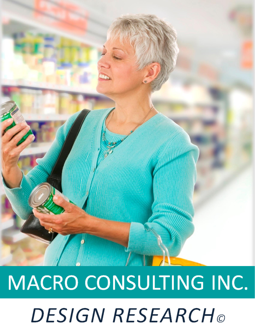

# MACRO CONSULTING INC. **DESIGN RESEARCH**®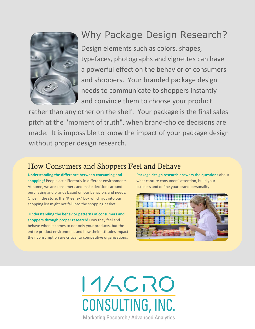

## Why Package Design Research?

Design elements such as colors, shapes, typefaces, photographs and vignettes can have a powerful effect on the behavior of consumers and shoppers. Your branded package design needs to communicate to shoppers instantly and convince them to choose your product

rather than any other on the shelf. Your package is the final sales pitch at the "moment of truth", when brand-choice decisions are made. It is impossible to know the impact of your package design without proper design research.

### How Consumers and Shoppers Feel and Behave

**Understanding the difference between consuming and shopping!** People act differently in different environments. At home, we are consumers and make decisions around purchasing and brands based on our behaviors and needs. Once in the store, the "Kleenex" box which got into our shopping list might not fall into the shopping basket.

**Understanding the behavior patterns of consumers and shoppers through proper research!** How they feel and behave when it comes to not only your products, but the entire product environment and how their attitudes impact their consumption are critical to competitive organizations.

**Package design research answers the questions** about what capture consumers' attention, build your business and define your brand personality.



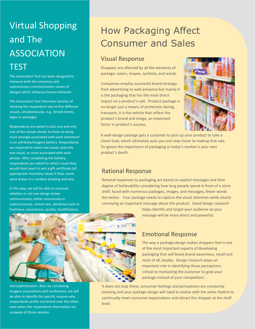## Virtual Shopping and The ASSOCIATION **TEST**

The Association Test has been designed to measure both the conscious and subconscious communication values of designs which influence human behavior.

The Association Test interview consists of showing the respondent two to five different visuals, simultaneously, e.g., brand names, logos or packages.

Respondents are asked to pick one and only one of the visuals shown to them as being most strongly associated with each statement in an attribute/imagery battery. Respondents are required to select one visual, and only one visual, as most associated with each phrase. After completing the battery, respondents are asked for which visual they would most want to win a gift certificate (of appropriate monetary value) if their name were drawn in a random drawing and why.

In this way, we will be able to measure whether or not one design better communicates, either consciously or subconsciously, certain key attributes such as freshness, naturalness, quality, healthfulness



and sophistication. Also, by correlating imagery associations with preference, we will be able to identify the specific reasons why respondents prefer one brand over the other, even when the respondents themselves are unaware of those reasons.

## How Packaging Affect Consumer and Sales

#### Visual Response

Shoppers are affected by all the elements of package: colors, shapes, symbols, and words.

Companies employ successful brand strategy from advertising to web presence but mainly it is the packaging that has the most direct impact on a product's sale. Product package is no longer just a means of protection during transport, it is the vehicle that reflect the product's brand and image, an important factor in product's success.



A well-design package gets a customer to pick up your product to take a closer look, which ultimately puts you one step closer to making that sale. To ignore the importance of packaging in today's market is your own product's death.

#### Rational Response

Rational responses to packaging are based on explicit messages and their degree of believability considering how long people spend in front of a store shelf, faced with numerous packages, images, and messages, fewer words the better. Your package needs to capture the visual attention while clearly conveying an important message about the product. Good design research

> helps identify and target your audience so your message will be more direct and powerful.

#### Emotional Response

The way a package design makes shoppers feel is one of the most important aspects of developing packaging that will boost brand awareness, recall and most of all, loyalty. Design research plays an important role in identifying those perceptions critical to motivating the customer to grab your package instead of your competitors'.

It does not stop there, consumer feelings and perceptions are constantly evolving and your package design will need to evolve with the same rhythm to continually meet consumer expectations and attract the shopper at the shelf level.